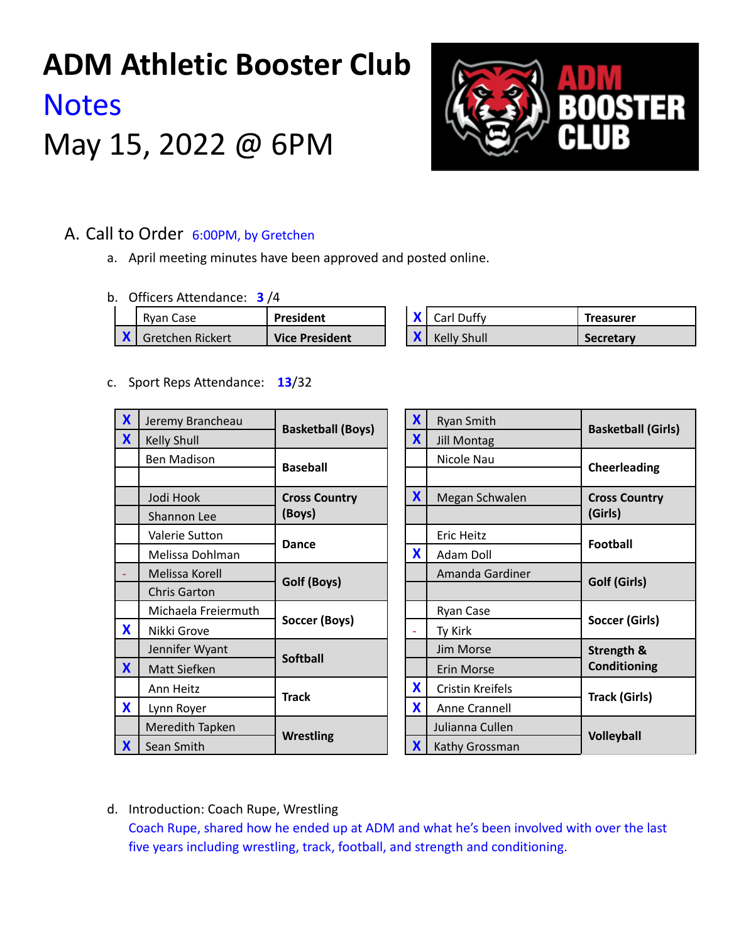# **ADM Athletic Booster Club Notes** May 15, 2022 @ 6PM



## A. Call to Order 6:00PM, by Gretchen

- a. April meeting minutes have been approved and posted online.
- b. Officers Attendance: **3** /4

| Rvan Case        | President      | $\bullet$ | Carl Duffy         | Treasurer        |
|------------------|----------------|-----------|--------------------|------------------|
| Gretchen Rickert | Vice President |           | <b>Kelly Shull</b> | <b>Secretary</b> |

c. Sport Reps Attendance: **13**/32

| $\boldsymbol{X}$ | Jeremy Brancheau    | <b>Basketball (Boys)</b> | X            | <b>Ryan Smith</b>       | <b>Basketball (Girls)</b> |
|------------------|---------------------|--------------------------|--------------|-------------------------|---------------------------|
| X                | <b>Kelly Shull</b>  |                          | $\mathbf{x}$ | <b>Jill Montag</b>      |                           |
|                  | <b>Ben Madison</b>  | <b>Baseball</b>          |              | Nicole Nau              | Cheerleading              |
|                  |                     |                          |              |                         |                           |
|                  | Jodi Hook           | <b>Cross Country</b>     | X            | Megan Schwalen          | <b>Cross Country</b>      |
|                  | Shannon Lee         | (Boys)                   |              |                         | (Girls)                   |
|                  | Valerie Sutton      | <b>Dance</b>             |              | <b>Eric Heitz</b>       | <b>Football</b>           |
|                  | Melissa Dohlman     |                          | X            | Adam Doll               |                           |
|                  | Melissa Korell      | Golf (Boys)              |              | Amanda Gardiner         | Golf (Girls)              |
|                  | <b>Chris Garton</b> |                          |              |                         |                           |
|                  | Michaela Freiermuth | Soccer (Boys)            |              | Ryan Case               | Soccer (Girls)            |
| <b>X</b>         | Nikki Grove         |                          |              | Ty Kirk                 |                           |
|                  | Jennifer Wyant      | <b>Softball</b>          |              | Jim Morse               | Strength &                |
| $\mathbf x$      | Matt Siefken        |                          |              | Erin Morse              | <b>Conditioning</b>       |
|                  | Ann Heitz           | <b>Track</b>             | X            | <b>Cristin Kreifels</b> | <b>Track (Girls)</b>      |
| <b>X</b>         | Lynn Royer          |                          | X            | Anne Crannell           |                           |
|                  | Meredith Tapken     | <b>Wrestling</b>         |              | Julianna Cullen         | <b>Volleyball</b>         |
| X                | Sean Smith          |                          | X            | Kathy Grossman          |                           |

d. Introduction: Coach Rupe, Wrestling

Coach Rupe, shared how he ended up at ADM and what he's been involved with over the last five years including wrestling, track, football, and strength and conditioning.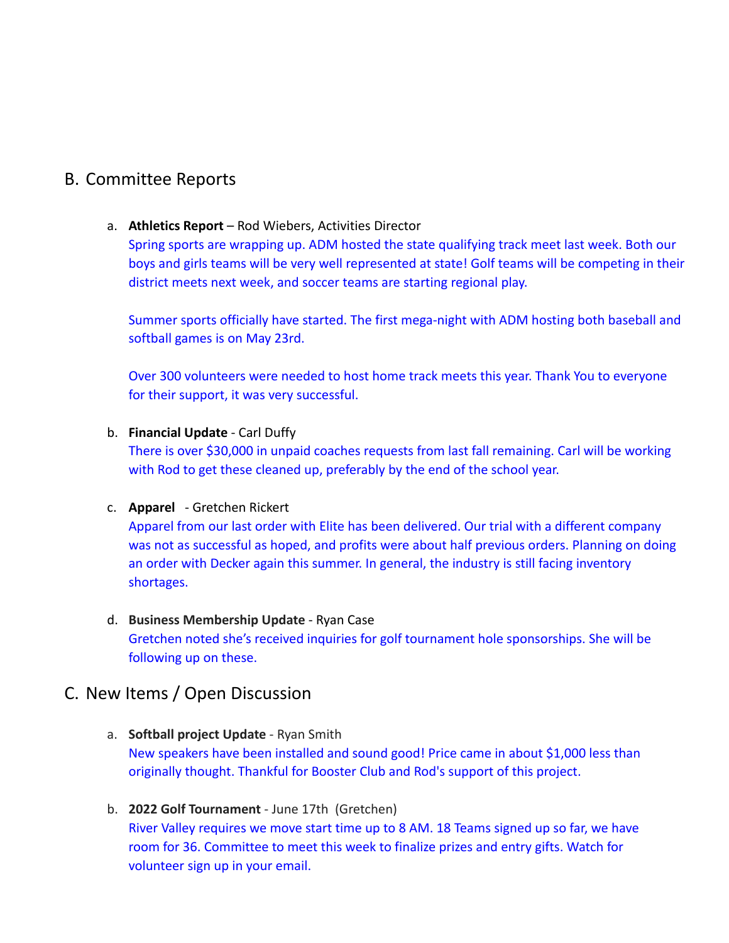# B. Committee Reports

## a. **Athletics Report** – Rod Wiebers, Activities Director

Spring sports are wrapping up. ADM hosted the state qualifying track meet last week. Both our boys and girls teams will be very well represented at state! Golf teams will be competing in their district meets next week, and soccer teams are starting regional play.

Summer sports officially have started. The first mega-night with ADM hosting both baseball and softball games is on May 23rd.

Over 300 volunteers were needed to host home track meets this year. Thank You to everyone for their support, it was very successful.

## b. **Financial Update** - Carl Duffy

There is over \$30,000 in unpaid coaches requests from last fall remaining. Carl will be working with Rod to get these cleaned up, preferably by the end of the school year.

## c. **Apparel** - Gretchen Rickert

Apparel from our last order with Elite has been delivered. Our trial with a different company was not as successful as hoped, and profits were about half previous orders. Planning on doing an order with Decker again this summer. In general, the industry is still facing inventory shortages.

d. **Business Membership Update** - Ryan Case Gretchen noted she's received inquiries for golf tournament hole sponsorships. She will be following up on these.

## C. New Items / Open Discussion

- a. **Softball project Update** Ryan Smith New speakers have been installed and sound good! Price came in about \$1,000 less than originally thought. Thankful for Booster Club and Rod's support of this project.
- b. **2022 Golf Tournament** June 17th (Gretchen) River Valley requires we move start time up to 8 AM. 18 Teams signed up so far, we have room for 36. Committee to meet this week to finalize prizes and entry gifts. Watch for volunteer sign up in your email.